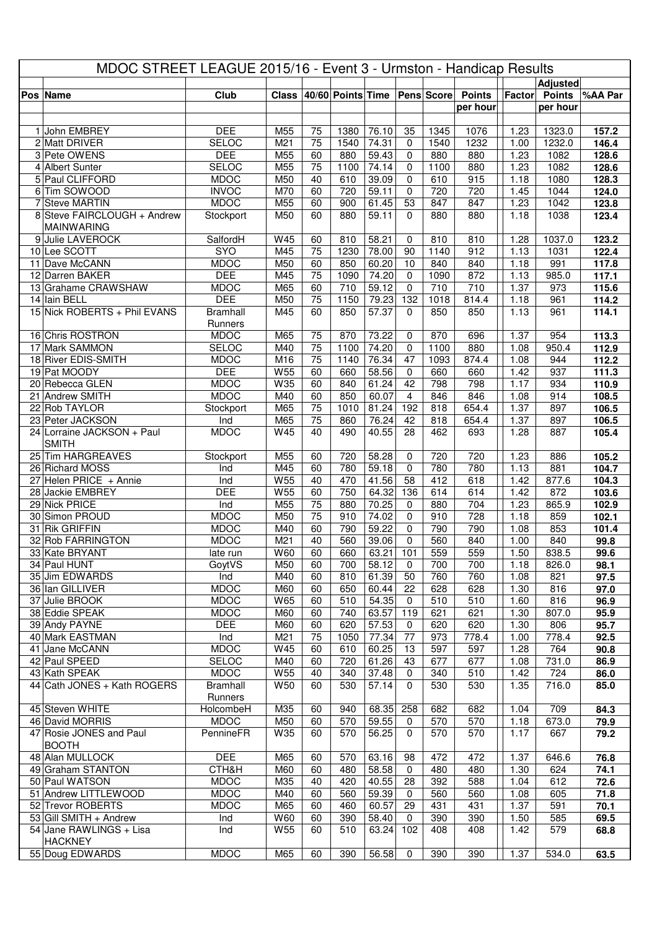| MDOC STREET LEAGUE 2015/16 - Event 3 - Urmston - Handicap Results |                                              |                            |                        |                       |                       |                |                    |                   |               |              |                  |                |
|-------------------------------------------------------------------|----------------------------------------------|----------------------------|------------------------|-----------------------|-----------------------|----------------|--------------------|-------------------|---------------|--------------|------------------|----------------|
|                                                                   |                                              |                            |                        |                       |                       |                |                    |                   |               |              | <b>Adjusted</b>  |                |
|                                                                   | Pos Name                                     | Club                       | <b>Class</b>           |                       | $ 40/60 $ Points Time |                |                    | <b>Pens Score</b> | <b>Points</b> | Factor       | <b>Points</b>    | %AA Par        |
|                                                                   |                                              |                            |                        |                       |                       |                |                    |                   | per hour      |              | per hour         |                |
|                                                                   |                                              |                            |                        |                       |                       |                |                    |                   |               |              |                  |                |
|                                                                   | 1 John EMBREY<br>2 Matt DRIVER               | <b>DEE</b><br><b>SELOC</b> | M55<br>M <sub>21</sub> | 75<br>75              | 1380<br>1540          | 76.10<br>74.31 | 35<br>$\mathbf 0$  | 1345<br>1540      | 1076<br>1232  | 1.23<br>1.00 | 1323.0<br>1232.0 | 157.2<br>146.4 |
|                                                                   | 3 Pete OWENS                                 | <b>DEE</b>                 | M55                    | 60                    | 880                   | 59.43          | 0                  | 880               | 880           | 1.23         | 1082             | 128.6          |
|                                                                   | 4 Albert Sunter                              | <b>SELOC</b>               | M55                    | 75                    | 1100                  | 74.14          | 0                  | 1100              | 880           | 1.23         | 1082             | 128.6          |
|                                                                   | 5 Paul CLIFFORD                              | <b>MDOC</b>                | M50                    | 40                    | 610                   | 39.09          | 0                  | 610               | 915           | 1.18         | 1080             | 128.3          |
|                                                                   | 6 Tim SOWOOD                                 | <b>INVOC</b>               | M70                    | 60                    | 720                   | 59.11          | $\mathbf 0$        | 720               | 720           | 1.45         | 1044             | 124.0          |
|                                                                   | 7 Steve MARTIN                               | <b>MDOC</b>                | M55                    | 60                    | 900                   | 61.45          | 53                 | 847               | 847           | 1.23         | 1042             | 123.8          |
|                                                                   | 8 Steve FAIRCLOUGH + Andrew                  | Stockport                  | M50                    | 60                    | 880                   | 59.11          | $\Omega$           | 880               | 880           | 1.18         | 1038             | 123.4          |
|                                                                   | <b>MAINWARING</b>                            |                            |                        |                       |                       |                |                    |                   |               |              |                  |                |
|                                                                   | 9 Julie LAVEROCK                             | SalfordH                   | W45                    | 60                    | 810                   | 58.21          | 0                  | 810               | 810           | 1.28         | 1037.0           | 123.2          |
|                                                                   | 10 Lee SCOTT                                 | SYO                        | M45                    | 75                    | 1230                  | 78.00          | 90                 | 1140              | 912           | 1.13         | 1031             | 122.4          |
|                                                                   | 11 Dave McCANN                               | <b>MDOC</b>                | M50                    | 60                    | 850                   | 60.20          | 10                 | 840               | 840           | 1.18         | 991              | 117.8          |
|                                                                   | 12 Darren BAKER                              | <b>DEE</b>                 | M45                    | 75                    | 1090                  | 74.20          | $\mathbf 0$        | 1090              | 872           | 1.13         | 985.0            | 117.1          |
|                                                                   | 13 Grahame CRAWSHAW                          | <b>MDOC</b><br><b>DEE</b>  | M65                    | 60<br>$\overline{75}$ | 710<br>1150           | 59.12<br>79.23 | $\mathbf 0$<br>132 | 710<br>1018       | 710           | 1.37         | 973              | 115.6          |
|                                                                   | 14 Iain BELL<br>15 Nick ROBERTS + Phil EVANS | <b>Bramhall</b>            | M50<br>M45             | 60                    | 850                   | 57.37          | 0                  | 850               | 814.4<br>850  | 1.18<br>1.13 | 961<br>961       | 114.2<br>114.1 |
|                                                                   |                                              | Runners                    |                        |                       |                       |                |                    |                   |               |              |                  |                |
|                                                                   | 16 Chris ROSTRON                             | <b>MDOC</b>                | M65                    | 75                    | 870                   | 73.22          | 0                  | 870               | 696           | 1.37         | 954              | 113.3          |
|                                                                   | 17 Mark SAMMON                               | <b>SELOC</b>               | M40                    | 75                    | 1100                  | 74.20          | $\mathbf 0$        | 1100              | 880           | 1.08         | 950.4            | 112.9          |
|                                                                   | 18 River EDIS-SMITH                          | <b>MDOC</b>                | M16                    | 75                    | 1140                  | 76.34          | 47                 | 1093              | 874.4         | 1.08         | 944              | 112.2          |
|                                                                   | 19 Pat MOODY                                 | <b>DEE</b>                 | W55                    | 60                    | 660                   | 58.56          | 0                  | 660               | 660           | 1.42         | 937              | 111.3          |
|                                                                   | 20 Rebecca GLEN                              | <b>MDOC</b>                | W35                    | 60                    | 840                   | 61.24          | $\overline{42}$    | 798               | 798           | 1.17         | 934              | 110.9          |
|                                                                   | 21 Andrew SMITH                              | <b>MDOC</b>                | M40                    | 60                    | 850                   | 60.07          | $\overline{4}$     | 846               | 846           | 1.08         | 914              | 108.5          |
|                                                                   | 22 Rob TAYLOR                                | Stockport                  | M65                    | $\overline{75}$       | 1010                  | 81.24          | 192                | 818               | 654.4         | 1.37         | 897              | 106.5          |
|                                                                   | 23 Peter JACKSON                             | Ind                        | M65                    | $\overline{75}$       | 860                   | 76.24          | 42                 | 818               | 654.4         | 1.37         | 897              | 106.5          |
|                                                                   | 24 Lorraine JACKSON + Paul                   | <b>MDOC</b>                | W45                    | 40                    | 490                   | 40.55          | 28                 | 462               | 693           | 1.28         | 887              | 105.4          |
|                                                                   | <b>SMITH</b>                                 |                            |                        |                       |                       |                |                    |                   |               |              |                  |                |
|                                                                   | 25 Tim HARGREAVES<br>26 Richard MOSS         | Stockport<br>Ind           | M55<br>M45             | 60<br>60              | 720<br>780            | 58.28<br>59.18 | 0<br>0             | 720<br>780        | 720<br>780    | 1.23<br>1.13 | 886<br>881       | 105.2<br>104.7 |
|                                                                   | $27$ Helen PRICE + Annie                     | Ind                        | W55                    | 40                    | 470                   | 41.56          | 58                 | 412               | 618           | 1.42         | 877.6            | 104.3          |
|                                                                   | 28 Jackie EMBREY                             | <b>DEE</b>                 | W55                    | 60                    | 750                   | 64.32          | 136                | 614               | 614           | 1.42         | 872              | 103.6          |
|                                                                   | 29 Nick PRICE                                | Ind                        | M55                    | $\overline{75}$       | 880                   | 70.25          | 0                  | 880               | 704           | 1.23         | 865.9            | 102.9          |
|                                                                   | 30 Simon PROUD                               | <b>MDOC</b>                | M50                    | $\overline{75}$       | 910                   | 74.02          | 0                  | 910               | 728           | 1.18         | 859              | 102.1          |
|                                                                   | 31 Rik GRIFFIN                               | <b>MDOC</b>                | M40                    | 60                    | 790                   | 59.22          | $\mathbf 0$        | 790               | 790           | 1.08         | 853              | 101.4          |
|                                                                   | 32 Rob FARRINGTON                            | <b>MDOC</b>                | M21                    | 40                    | 560                   | 39.06          | $\mathbf 0$        | 560               | 840           | 1.00         | 840              | 99.8           |
|                                                                   | 33 Kate BRYANT                               | late run                   | W60                    | 60                    | 660                   | 63.21          | 101                | 559               | 559           | 1.50         | 838.5            | 99.6           |
|                                                                   | 34 Paul HUNT                                 | GoytVS                     | M50                    | 60                    | 700                   | 58.12          | 0                  | 700               | 700           | 1.18         | 826.0            | 98.1           |
|                                                                   | 35 Jim EDWARDS                               | Ind                        | M40                    | 60                    | 810                   | 61.39          | 50                 | 760               | 760           | 1.08         | 821              | 97.5           |
|                                                                   | 36 Ian GILLIVER                              | <b>MDOC</b>                | M60                    | 60                    | 650                   | 60.44          | 22                 | 628               | 628           | 1.30         | 816              | 97.0           |
|                                                                   | 37 Julie BROOK<br>38 Eddie SPEAK             | <b>MDOC</b><br><b>MDOC</b> | W65                    | 60                    | 510<br>740            | 54.35<br>63.57 | $\mathbf 0$<br>119 | 510<br>621        | 510           | 1.60         | 816<br>807.0     | 96.9           |
|                                                                   | 39 Andy PAYNE                                | <b>DEE</b>                 | M60<br>M60             | 60<br>60              | 620                   | 57.53          | 0                  | 620               | 621<br>620    | 1.30<br>1.30 | 806              | 95.9<br>95.7   |
|                                                                   | 40 Mark EASTMAN                              | Ind                        | M21                    | 75                    | 1050                  | 77.34          | 77                 | 973               | 778.4         | 1.00         | 778.4            | 92.5           |
|                                                                   | 41 Jane McCANN                               | <b>MDOC</b>                | W45                    | 60                    | 610                   | 60.25          | 13                 | 597               | 597           | 1.28         | 764              | 90.8           |
|                                                                   | 42 Paul SPEED                                | <b>SELOC</b>               | M40                    | 60                    | 720                   | 61.26          | 43                 | 677               | 677           | 1.08         | 731.0            | 86.9           |
|                                                                   | 43 Kath SPEAK                                | <b>MDOC</b>                | W55                    | 40                    | 340                   | 37.48          | $\mathbf 0$        | 340               | 510           | 1.42         | 724              | 86.0           |
|                                                                   | 44 Cath JONES + Kath ROGERS                  | <b>Bramhall</b>            | W50                    | 60                    | 530                   | 57.14          | $\Omega$           | 530               | 530           | 1.35         | 716.0            | 85.0           |
|                                                                   |                                              | Runners                    |                        |                       |                       |                |                    |                   |               |              |                  |                |
|                                                                   | 45 Steven WHITE                              | HolcombeH                  | M35                    | 60                    | 940                   | 68.35          | 258                | 682               | 682           | 1.04         | 709              | 84.3           |
|                                                                   | 46 David MORRIS                              | <b>MDOC</b>                | M50                    | 60                    | 570                   | 59.55          | $\mathbf 0$        | 570               | 570           | 1.18         | 673.0            | 79.9           |
|                                                                   | 47 Rosie JONES and Paul                      | PennineFR                  | W35                    | 60                    | 570                   | 56.25          | 0                  | 570               | 570           | 1.17         | 667              | 79.2           |
|                                                                   | <b>BOOTH</b>                                 |                            |                        |                       |                       |                |                    |                   |               |              |                  |                |
|                                                                   | 48 Alan MULLOCK                              | <b>DEE</b>                 | M65                    | 60                    | 570                   | 63.16          | 98                 | 472               | 472           | 1.37         | 646.6            | 76.8           |
|                                                                   | 49 Graham STANTON<br>50 Paul WATSON          | CTH&H<br><b>MDOC</b>       | M60<br>M35             | 60<br>40              | 480<br>420            | 58.58<br>40.55 | 0<br>28            | 480<br>392        | 480<br>588    | 1.30<br>1.04 | 624<br>612       | 74.1           |
|                                                                   | 51 Andrew LITTLEWOOD                         | <b>MDOC</b>                | M40                    | 60                    | 560                   | 59.39          | $\mathbf 0$        | 560               | 560           | 1.08         | 605              | 72.6<br>71.8   |
|                                                                   | 52 Trevor ROBERTS                            | <b>MDOC</b>                | M65                    | 60                    | 460                   | 60.57          | 29                 | 431               | 431           | 1.37         | 591              | 70.1           |
|                                                                   | 53 Gill SMITH + Andrew                       | Ind                        | W60                    | 60                    | 390                   | 58.40          | 0                  | 390               | 390           | 1.50         | 585              | 69.5           |
|                                                                   | 54 Jane RAWLINGS + Lisa                      | Ind                        | W <sub>55</sub>        | 60                    | 510                   | 63.24          | 102                | 408               | 408           | 1.42         | 579              | 68.8           |
|                                                                   | <b>HACKNEY</b>                               |                            |                        |                       |                       |                |                    |                   |               |              |                  |                |
|                                                                   | 55 Doug EDWARDS                              | <b>MDOC</b>                | M65                    | 60                    | 390                   | 56.58          | 0                  | 390               | 390           | 1.37         | 534.0            | 63.5           |